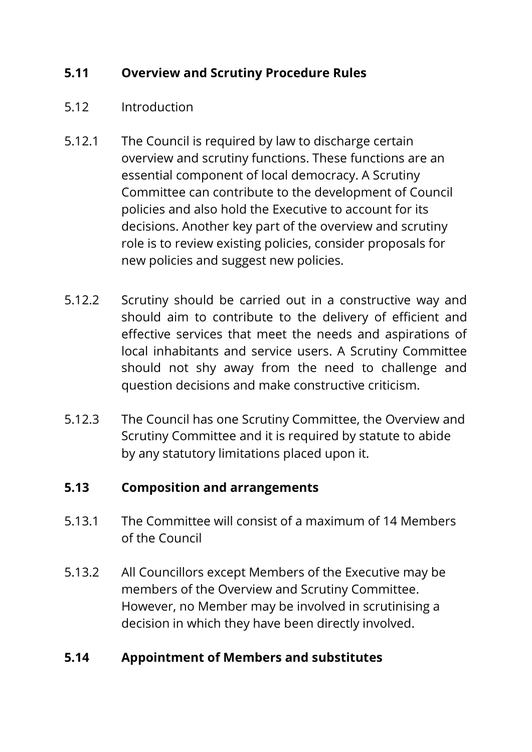# **5.11 Overview and Scrutiny Procedure Rules**

- 5.12 Introduction
- 5.12.1 The Council is required by law to discharge certain overview and scrutiny functions. These functions are an essential component of local democracy. A Scrutiny Committee can contribute to the development of Council policies and also hold the Executive to account for its decisions. Another key part of the overview and scrutiny role is to review existing policies, consider proposals for new policies and suggest new policies.
- 5.12.2 Scrutiny should be carried out in a constructive way and should aim to contribute to the delivery of efficient and effective services that meet the needs and aspirations of local inhabitants and service users. A Scrutiny Committee should not shy away from the need to challenge and question decisions and make constructive criticism.
- 5.12.3 The Council has one Scrutiny Committee, the Overview and Scrutiny Committee and it is required by statute to abide by any statutory limitations placed upon it.

#### **5.13 Composition and arrangements**

- 5.13.1 The Committee will consist of a maximum of 14 Members of the Council
- 5.13.2 All Councillors except Members of the Executive may be members of the Overview and Scrutiny Committee. However, no Member may be involved in scrutinising a decision in which they have been directly involved.

## **5.14 Appointment of Members and substitutes**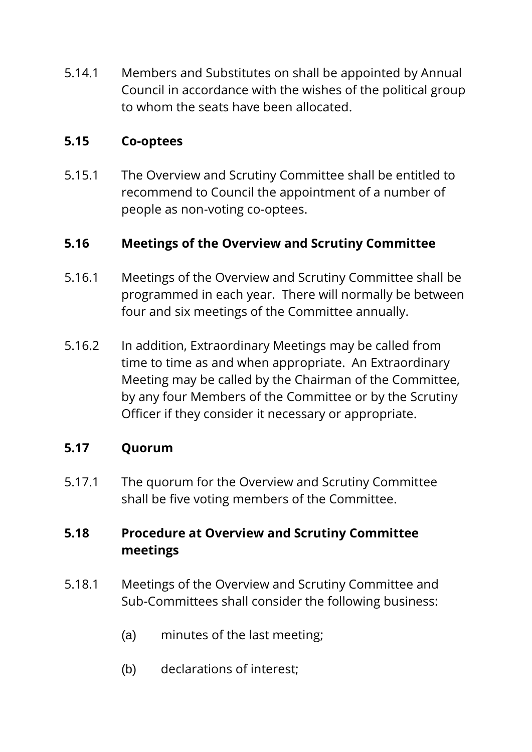5.14.1 Members and Substitutes on shall be appointed by Annual Council in accordance with the wishes of the political group to whom the seats have been allocated.

#### **5.15 Co-optees**

5.15.1 The Overview and Scrutiny Committee shall be entitled to recommend to Council the appointment of a number of people as non-voting co-optees.

## **5.16 Meetings of the Overview and Scrutiny Committee**

- 5.16.1 Meetings of the Overview and Scrutiny Committee shall be programmed in each year. There will normally be between four and six meetings of the Committee annually.
- 5.16.2 In addition, Extraordinary Meetings may be called from time to time as and when appropriate. An Extraordinary Meeting may be called by the Chairman of the Committee, by any four Members of the Committee or by the Scrutiny Officer if they consider it necessary or appropriate.

## **5.17 Quorum**

5.17.1 The quorum for the Overview and Scrutiny Committee shall be five voting members of the Committee.

# **5.18 Procedure at Overview and Scrutiny Committee meetings**

- 5.18.1 Meetings of the Overview and Scrutiny Committee and Sub-Committees shall consider the following business:
	- (a) minutes of the last meeting;
	- (b) declarations of interest;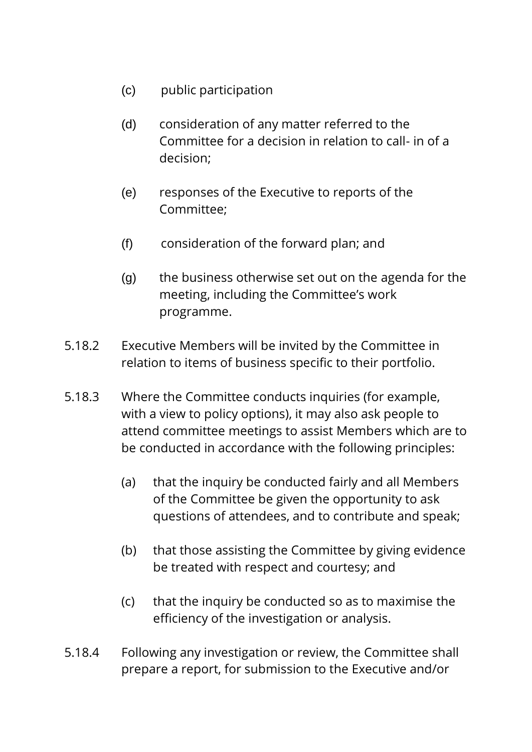- (c) public participation
- (d) consideration of any matter referred to the Committee for a decision in relation to call- in of a decision;
- (e) responses of the Executive to reports of the Committee;
- (f) consideration of the forward plan; and
- (g) the business otherwise set out on the agenda for the meeting, including the Committee's work programme.
- 5.18.2 Executive Members will be invited by the Committee in relation to items of business specific to their portfolio.
- 5.18.3 Where the Committee conducts inquiries (for example, with a view to policy options), it may also ask people to attend committee meetings to assist Members which are to be conducted in accordance with the following principles:
	- (a) that the inquiry be conducted fairly and all Members of the Committee be given the opportunity to ask questions of attendees, and to contribute and speak;
	- (b) that those assisting the Committee by giving evidence be treated with respect and courtesy; and
	- (c) that the inquiry be conducted so as to maximise the efficiency of the investigation or analysis.
- 5.18.4 Following any investigation or review, the Committee shall prepare a report, for submission to the Executive and/or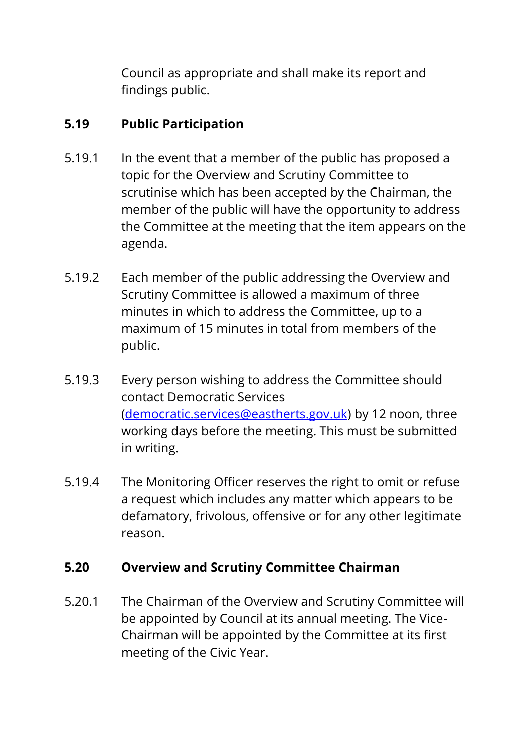Council as appropriate and shall make its report and findings public.

# **5.19 Public Participation**

- 5.19.1 In the event that a member of the public has proposed a topic for the Overview and Scrutiny Committee to scrutinise which has been accepted by the Chairman, the member of the public will have the opportunity to address the Committee at the meeting that the item appears on the agenda.
- 5.19.2 Each member of the public addressing the Overview and Scrutiny Committee is allowed a maximum of three minutes in which to address the Committee, up to a maximum of 15 minutes in total from members of the public.
- 5.19.3 Every person wishing to address the Committee should contact Democratic Services [\(democratic.services@eastherts.gov.uk\)](mailto:democratic.services@eastherts.gov.uk) by 12 noon, three working days before the meeting. This must be submitted in writing.
- 5.19.4 The Monitoring Officer reserves the right to omit or refuse a request which includes any matter which appears to be defamatory, frivolous, offensive or for any other legitimate reason.

## **5.20 Overview and Scrutiny Committee Chairman**

5.20.1 The Chairman of the Overview and Scrutiny Committee will be appointed by Council at its annual meeting. The Vice-Chairman will be appointed by the Committee at its first meeting of the Civic Year.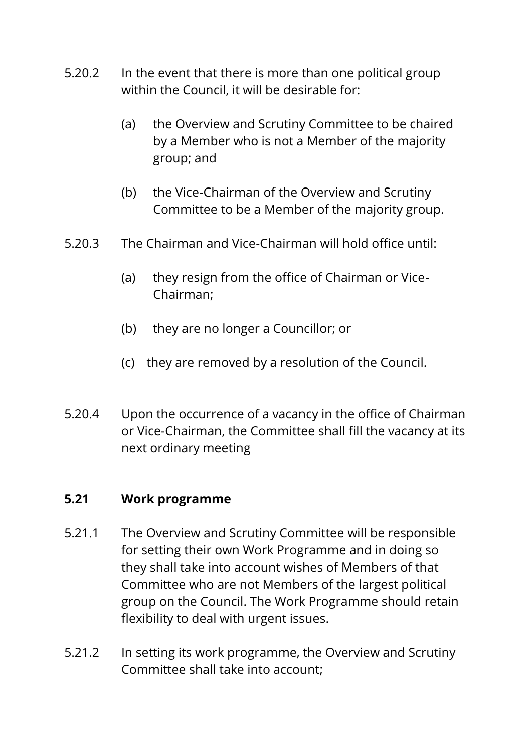- 5.20.2 In the event that there is more than one political group within the Council, it will be desirable for:
	- (a) the Overview and Scrutiny Committee to be chaired by a Member who is not a Member of the majority group; and
	- (b) the Vice-Chairman of the Overview and Scrutiny Committee to be a Member of the majority group.
- 5.20.3 The Chairman and Vice-Chairman will hold office until:
	- (a) they resign from the office of Chairman or Vice-Chairman;
	- (b) they are no longer a Councillor; or
	- (c) they are removed by a resolution of the Council.
- 5.20.4 Upon the occurrence of a vacancy in the office of Chairman or Vice-Chairman, the Committee shall fill the vacancy at its next ordinary meeting

#### **5.21 Work programme**

- 5.21.1 The Overview and Scrutiny Committee will be responsible for setting their own Work Programme and in doing so they shall take into account wishes of Members of that Committee who are not Members of the largest political group on the Council. The Work Programme should retain flexibility to deal with urgent issues.
- 5.21.2 In setting its work programme, the Overview and Scrutiny Committee shall take into account;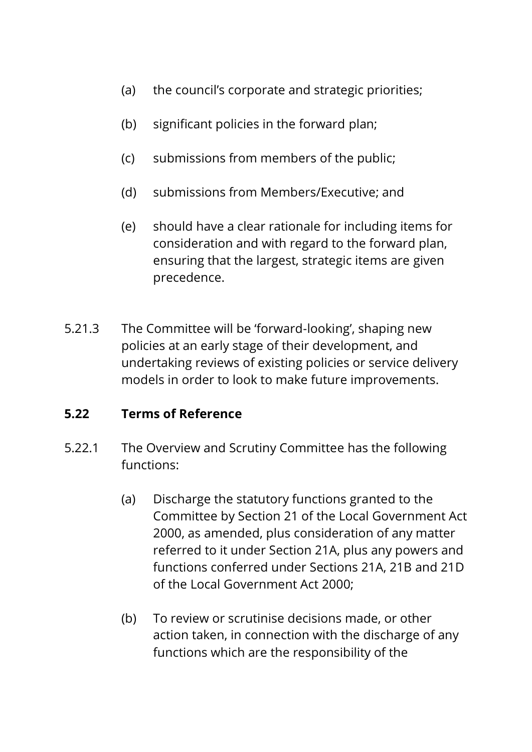- (a) the council's corporate and strategic priorities;
- (b) significant policies in the forward plan;
- (c) submissions from members of the public;
- (d) submissions from Members/Executive; and
- (e) should have a clear rationale for including items for consideration and with regard to the forward plan, ensuring that the largest, strategic items are given precedence.
- 5.21.3 The Committee will be 'forward-looking', shaping new policies at an early stage of their development, and undertaking reviews of existing policies or service delivery models in order to look to make future improvements.

## **5.22 Terms of Reference**

- 5.22.1 The Overview and Scrutiny Committee has the following functions:
	- (a) Discharge the statutory functions granted to the Committee by Section 21 of the Local Government Act 2000, as amended, plus consideration of any matter referred to it under Section 21A, plus any powers and functions conferred under Sections 21A, 21B and 21D of the Local Government Act 2000;
	- (b) To review or scrutinise decisions made, or other action taken, in connection with the discharge of any functions which are the responsibility of the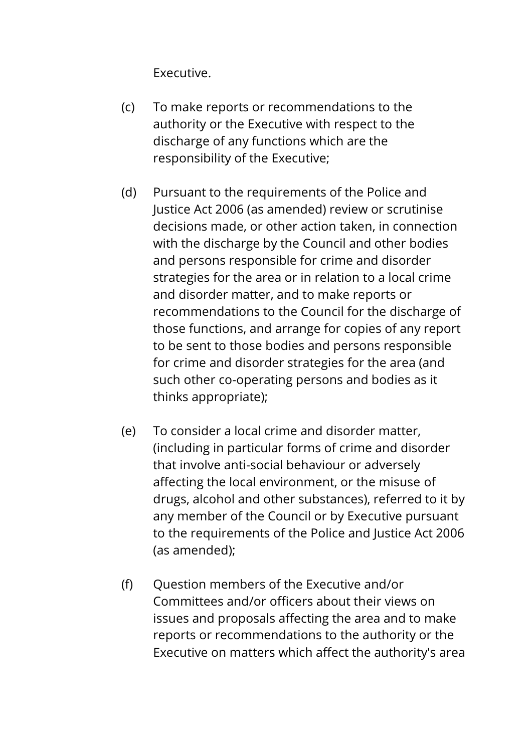Executive.

- (c) To make reports or recommendations to the authority or the Executive with respect to the discharge of any functions which are the responsibility of the Executive;
- (d) Pursuant to the requirements of the Police and Justice Act 2006 (as amended) review or scrutinise decisions made, or other action taken, in connection with the discharge by the Council and other bodies and persons responsible for crime and disorder strategies for the area or in relation to a local crime and disorder matter, and to make reports or recommendations to the Council for the discharge of those functions, and arrange for copies of any report to be sent to those bodies and persons responsible for crime and disorder strategies for the area (and such other co-operating persons and bodies as it thinks appropriate);
- (e) To consider a local crime and disorder matter, (including in particular forms of crime and disorder that involve anti-social behaviour or adversely affecting the local environment, or the misuse of drugs, alcohol and other substances), referred to it by any member of the Council or by Executive pursuant to the requirements of the Police and Justice Act 2006 (as amended);
- (f) Question members of the Executive and/or Committees and/or officers about their views on issues and proposals affecting the area and to make reports or recommendations to the authority or the Executive on matters which affect the authority's area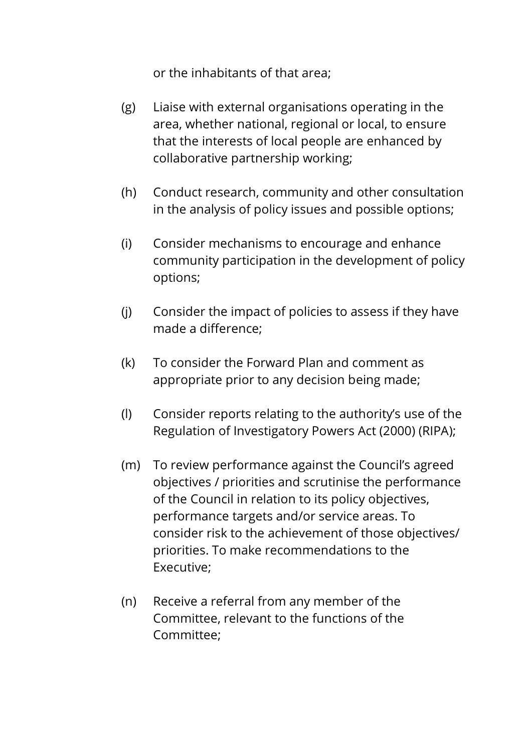or the inhabitants of that area;

- (g) Liaise with external organisations operating in the area, whether national, regional or local, to ensure that the interests of local people are enhanced by collaborative partnership working;
- (h) Conduct research, community and other consultation in the analysis of policy issues and possible options;
- (i) Consider mechanisms to encourage and enhance community participation in the development of policy options;
- (j) Consider the impact of policies to assess if they have made a difference;
- (k) To consider the Forward Plan and comment as appropriate prior to any decision being made;
- (l) Consider reports relating to the authority's use of the Regulation of Investigatory Powers Act (2000) (RIPA);
- (m) To review performance against the Council's agreed objectives / priorities and scrutinise the performance of the Council in relation to its policy objectives, performance targets and/or service areas. To consider risk to the achievement of those objectives/ priorities. To make recommendations to the Executive;
- (n) Receive a referral from any member of the Committee, relevant to the functions of the Committee;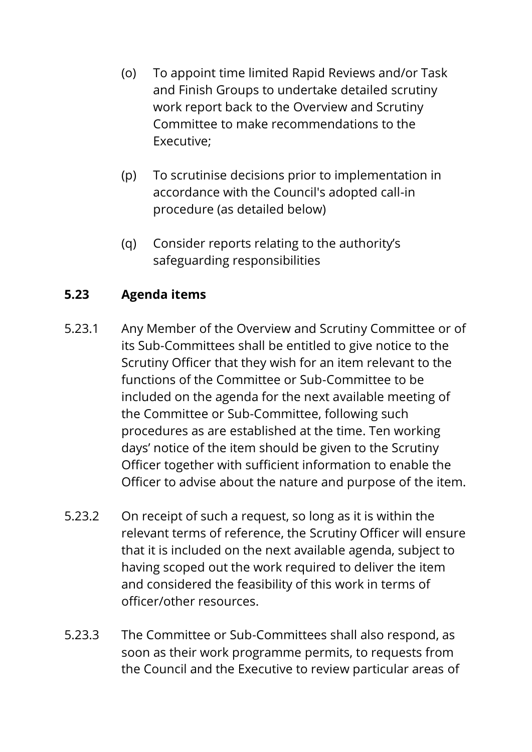- (o) To appoint time limited Rapid Reviews and/or Task and Finish Groups to undertake detailed scrutiny work report back to the Overview and Scrutiny Committee to make recommendations to the Executive;
- (p) To scrutinise decisions prior to implementation in accordance with the Council's adopted call-in procedure (as detailed below)
- (q) Consider reports relating to the authority's safeguarding responsibilities

# **5.23 Agenda items**

- 5.23.1 Any Member of the Overview and Scrutiny Committee or of its Sub-Committees shall be entitled to give notice to the Scrutiny Officer that they wish for an item relevant to the functions of the Committee or Sub-Committee to be included on the agenda for the next available meeting of the Committee or Sub-Committee, following such procedures as are established at the time. Ten working days' notice of the item should be given to the Scrutiny Officer together with sufficient information to enable the Officer to advise about the nature and purpose of the item.
- 5.23.2 On receipt of such a request, so long as it is within the relevant terms of reference, the Scrutiny Officer will ensure that it is included on the next available agenda, subject to having scoped out the work required to deliver the item and considered the feasibility of this work in terms of officer/other resources.
- 5.23.3 The Committee or Sub-Committees shall also respond, as soon as their work programme permits, to requests from the Council and the Executive to review particular areas of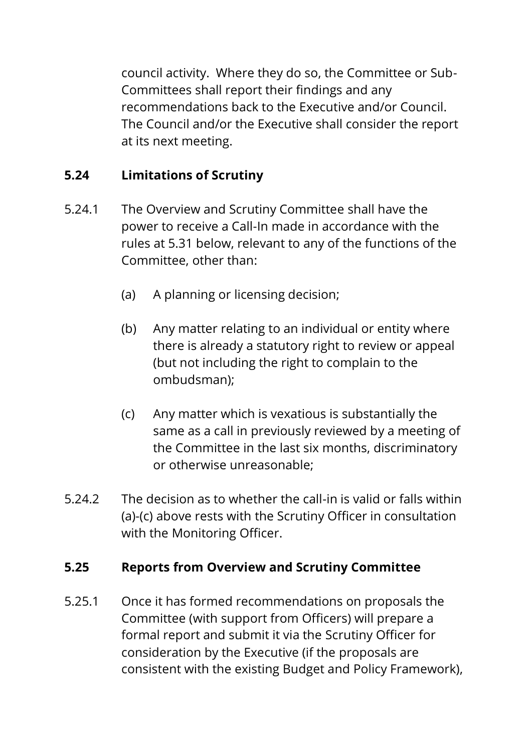council activity. Where they do so, the Committee or Sub-Committees shall report their findings and any recommendations back to the Executive and/or Council. The Council and/or the Executive shall consider the report at its next meeting.

# **5.24 Limitations of Scrutiny**

- 5.24.1 The Overview and Scrutiny Committee shall have the power to receive a Call-In made in accordance with the rules at 5.31 below, relevant to any of the functions of the Committee, other than:
	- (a) A planning or licensing decision;
	- (b) Any matter relating to an individual or entity where there is already a statutory right to review or appeal (but not including the right to complain to the ombudsman);
	- (c) Any matter which is vexatious is substantially the same as a call in previously reviewed by a meeting of the Committee in the last six months, discriminatory or otherwise unreasonable;
- 5.24.2 The decision as to whether the call-in is valid or falls within (a)-(c) above rests with the Scrutiny Officer in consultation with the Monitoring Officer.

## **5.25 Reports from Overview and Scrutiny Committee**

5.25.1 Once it has formed recommendations on proposals the Committee (with support from Officers) will prepare a formal report and submit it via the Scrutiny Officer for consideration by the Executive (if the proposals are consistent with the existing Budget and Policy Framework),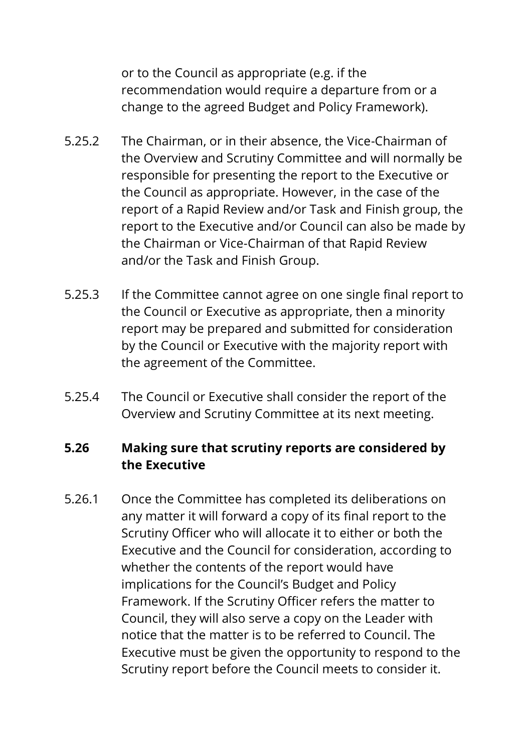or to the Council as appropriate (e.g. if the recommendation would require a departure from or a change to the agreed Budget and Policy Framework).

- 5.25.2 The Chairman, or in their absence, the Vice-Chairman of the Overview and Scrutiny Committee and will normally be responsible for presenting the report to the Executive or the Council as appropriate. However, in the case of the report of a Rapid Review and/or Task and Finish group, the report to the Executive and/or Council can also be made by the Chairman or Vice-Chairman of that Rapid Review and/or the Task and Finish Group.
- 5.25.3 If the Committee cannot agree on one single final report to the Council or Executive as appropriate, then a minority report may be prepared and submitted for consideration by the Council or Executive with the majority report with the agreement of the Committee.
- 5.25.4 The Council or Executive shall consider the report of the Overview and Scrutiny Committee at its next meeting.

#### **5.26 Making sure that scrutiny reports are considered by the Executive**

5.26.1 Once the Committee has completed its deliberations on any matter it will forward a copy of its final report to the Scrutiny Officer who will allocate it to either or both the Executive and the Council for consideration, according to whether the contents of the report would have implications for the Council's Budget and Policy Framework. If the Scrutiny Officer refers the matter to Council, they will also serve a copy on the Leader with notice that the matter is to be referred to Council. The Executive must be given the opportunity to respond to the Scrutiny report before the Council meets to consider it.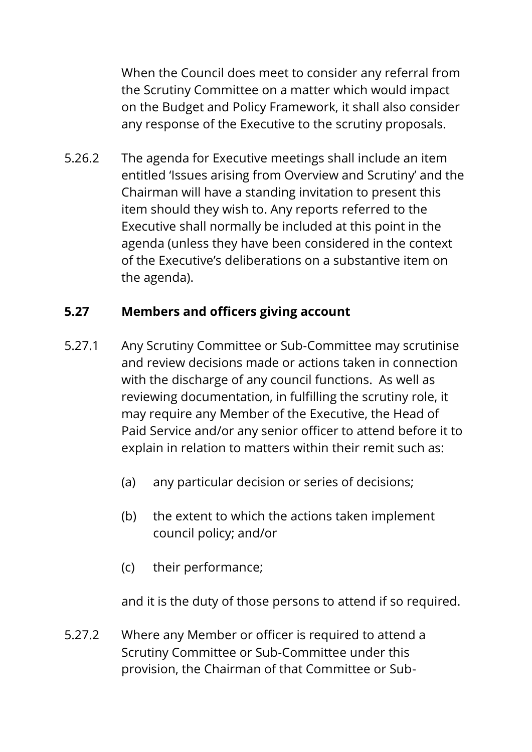When the Council does meet to consider any referral from the Scrutiny Committee on a matter which would impact on the Budget and Policy Framework, it shall also consider any response of the Executive to the scrutiny proposals.

5.26.2 The agenda for Executive meetings shall include an item entitled 'Issues arising from Overview and Scrutiny' and the Chairman will have a standing invitation to present this item should they wish to. Any reports referred to the Executive shall normally be included at this point in the agenda (unless they have been considered in the context of the Executive's deliberations on a substantive item on the agenda).

### **5.27 Members and officers giving account**

- 5.27.1 Any Scrutiny Committee or Sub-Committee may scrutinise and review decisions made or actions taken in connection with the discharge of any council functions. As well as reviewing documentation, in fulfilling the scrutiny role, it may require any Member of the Executive, the Head of Paid Service and/or any senior officer to attend before it to explain in relation to matters within their remit such as:
	- (a) any particular decision or series of decisions;
	- (b) the extent to which the actions taken implement council policy; and/or
	- (c) their performance;

and it is the duty of those persons to attend if so required.

5.27.2 Where any Member or officer is required to attend a Scrutiny Committee or Sub-Committee under this provision, the Chairman of that Committee or Sub-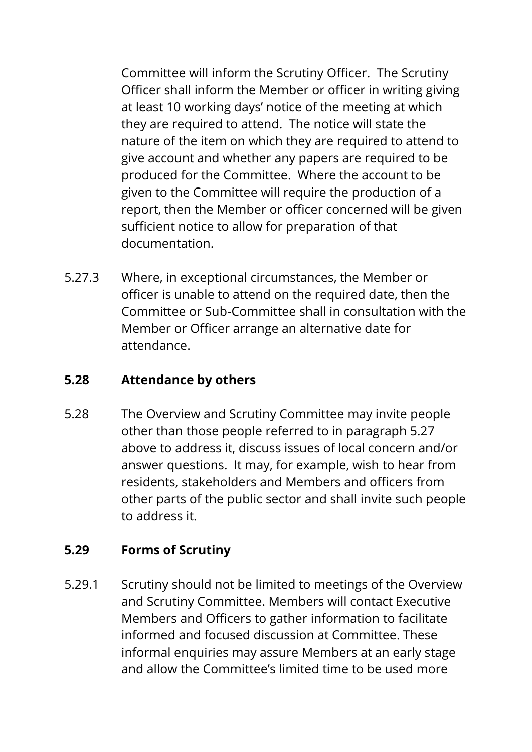Committee will inform the Scrutiny Officer. The Scrutiny Officer shall inform the Member or officer in writing giving at least 10 working days' notice of the meeting at which they are required to attend. The notice will state the nature of the item on which they are required to attend to give account and whether any papers are required to be produced for the Committee. Where the account to be given to the Committee will require the production of a report, then the Member or officer concerned will be given sufficient notice to allow for preparation of that documentation.

5.27.3 Where, in exceptional circumstances, the Member or officer is unable to attend on the required date, then the Committee or Sub-Committee shall in consultation with the Member or Officer arrange an alternative date for attendance.

### **5.28 Attendance by others**

5.28 The Overview and Scrutiny Committee may invite people other than those people referred to in paragraph 5.27 above to address it, discuss issues of local concern and/or answer questions. It may, for example, wish to hear from residents, stakeholders and Members and officers from other parts of the public sector and shall invite such people to address it.

#### **5.29 Forms of Scrutiny**

5.29.1 Scrutiny should not be limited to meetings of the Overview and Scrutiny Committee. Members will contact Executive Members and Officers to gather information to facilitate informed and focused discussion at Committee. These informal enquiries may assure Members at an early stage and allow the Committee's limited time to be used more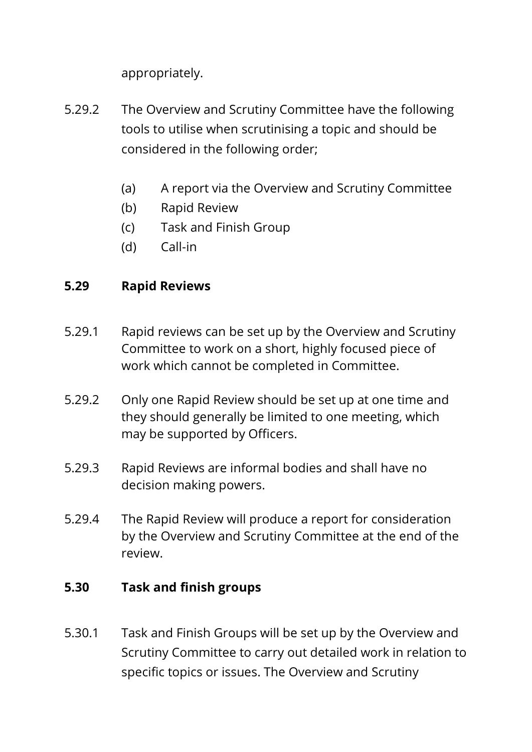appropriately.

- 5.29.2 The Overview and Scrutiny Committee have the following tools to utilise when scrutinising a topic and should be considered in the following order;
	- (a) A report via the Overview and Scrutiny Committee
	- (b) Rapid Review
	- (c) Task and Finish Group
	- (d) Call-in

#### **5.29 Rapid Reviews**

- 5.29.1 Rapid reviews can be set up by the Overview and Scrutiny Committee to work on a short, highly focused piece of work which cannot be completed in Committee.
- 5.29.2 Only one Rapid Review should be set up at one time and they should generally be limited to one meeting, which may be supported by Officers.
- 5.29.3 Rapid Reviews are informal bodies and shall have no decision making powers.
- 5.29.4 The Rapid Review will produce a report for consideration by the Overview and Scrutiny Committee at the end of the review.

#### **5.30 Task and finish groups**

5.30.1 Task and Finish Groups will be set up by the Overview and Scrutiny Committee to carry out detailed work in relation to specific topics or issues. The Overview and Scrutiny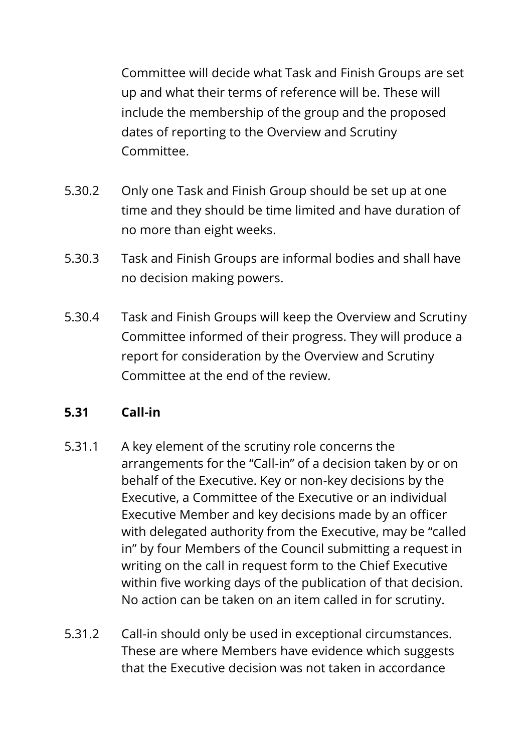Committee will decide what Task and Finish Groups are set up and what their terms of reference will be. These will include the membership of the group and the proposed dates of reporting to the Overview and Scrutiny Committee.

- 5.30.2 Only one Task and Finish Group should be set up at one time and they should be time limited and have duration of no more than eight weeks.
- 5.30.3 Task and Finish Groups are informal bodies and shall have no decision making powers.
- 5.30.4 Task and Finish Groups will keep the Overview and Scrutiny Committee informed of their progress. They will produce a report for consideration by the Overview and Scrutiny Committee at the end of the review.

#### **5.31 Call-in**

- 5.31.1 A key element of the scrutiny role concerns the arrangements for the "Call-in" of a decision taken by or on behalf of the Executive. Key or non-key decisions by the Executive, a Committee of the Executive or an individual Executive Member and key decisions made by an officer with delegated authority from the Executive, may be "called in" by four Members of the Council submitting a request in writing on the call in request form to the Chief Executive within five working days of the publication of that decision. No action can be taken on an item called in for scrutiny.
- 5.31.2 Call-in should only be used in exceptional circumstances. These are where Members have evidence which suggests that the Executive decision was not taken in accordance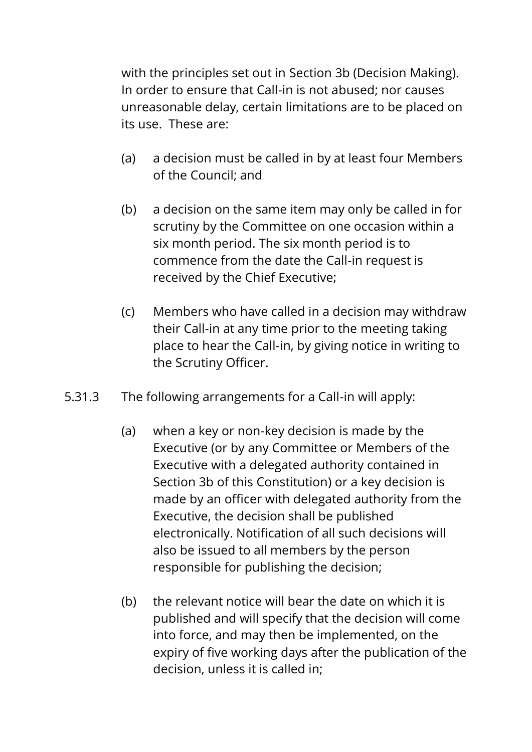with the principles set out in Section 3b (Decision Making). In order to ensure that Call-in is not abused; nor causes unreasonable delay, certain limitations are to be placed on its use. These are:

- (a) a decision must be called in by at least four Members of the Council; and
- (b) a decision on the same item may only be called in for scrutiny by the Committee on one occasion within a six month period. The six month period is to commence from the date the Call-in request is received by the Chief Executive;
- (c) Members who have called in a decision may withdraw their Call-in at any time prior to the meeting taking place to hear the Call-in, by giving notice in writing to the Scrutiny Officer.
- 5.31.3 The following arrangements for a Call-in will apply:
	- (a) when a key or non-key decision is made by the Executive (or by any Committee or Members of the Executive with a delegated authority contained in Section 3b of this Constitution) or a key decision is made by an officer with delegated authority from the Executive, the decision shall be published electronically. Notification of all such decisions will also be issued to all members by the person responsible for publishing the decision;
	- (b) the relevant notice will bear the date on which it is published and will specify that the decision will come into force, and may then be implemented, on the expiry of five working days after the publication of the decision, unless it is called in;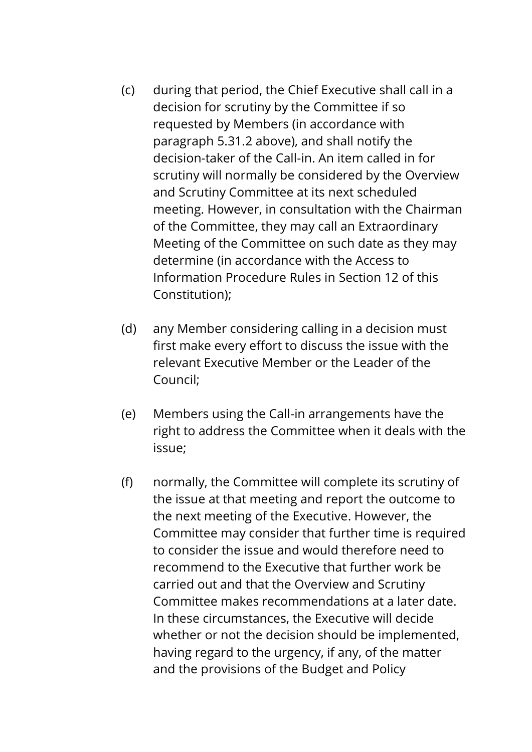- (c) during that period, the Chief Executive shall call in a decision for scrutiny by the Committee if so requested by Members (in accordance with paragraph 5.31.2 above), and shall notify the decision-taker of the Call-in. An item called in for scrutiny will normally be considered by the Overview and Scrutiny Committee at its next scheduled meeting. However, in consultation with the Chairman of the Committee, they may call an Extraordinary Meeting of the Committee on such date as they may determine (in accordance with the Access to Information Procedure Rules in Section 12 of this Constitution);
- (d) any Member considering calling in a decision must first make every effort to discuss the issue with the relevant Executive Member or the Leader of the Council;
- (e) Members using the Call-in arrangements have the right to address the Committee when it deals with the issue;
- (f) normally, the Committee will complete its scrutiny of the issue at that meeting and report the outcome to the next meeting of the Executive. However, the Committee may consider that further time is required to consider the issue and would therefore need to recommend to the Executive that further work be carried out and that the Overview and Scrutiny Committee makes recommendations at a later date. In these circumstances, the Executive will decide whether or not the decision should be implemented, having regard to the urgency, if any, of the matter and the provisions of the Budget and Policy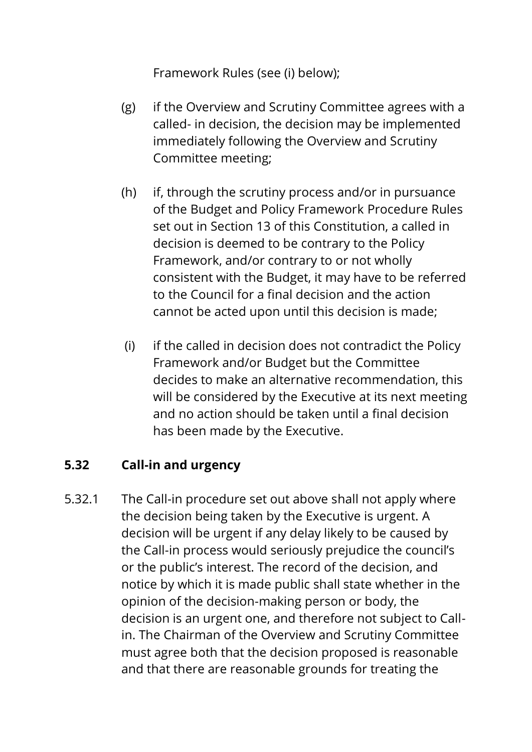Framework Rules (see (i) below);

- (g) if the Overview and Scrutiny Committee agrees with a called- in decision, the decision may be implemented immediately following the Overview and Scrutiny Committee meeting;
- (h) if, through the scrutiny process and/or in pursuance of the Budget and Policy Framework Procedure Rules set out in Section 13 of this Constitution, a called in decision is deemed to be contrary to the Policy Framework, and/or contrary to or not wholly consistent with the Budget, it may have to be referred to the Council for a final decision and the action cannot be acted upon until this decision is made;
- (i) if the called in decision does not contradict the Policy Framework and/or Budget but the Committee decides to make an alternative recommendation, this will be considered by the Executive at its next meeting and no action should be taken until a final decision has been made by the Executive.

#### **5.32 Call-in and urgency**

5.32.1 The Call-in procedure set out above shall not apply where the decision being taken by the Executive is urgent. A decision will be urgent if any delay likely to be caused by the Call-in process would seriously prejudice the council's or the public's interest. The record of the decision, and notice by which it is made public shall state whether in the opinion of the decision-making person or body, the decision is an urgent one, and therefore not subject to Callin. The Chairman of the Overview and Scrutiny Committee must agree both that the decision proposed is reasonable and that there are reasonable grounds for treating the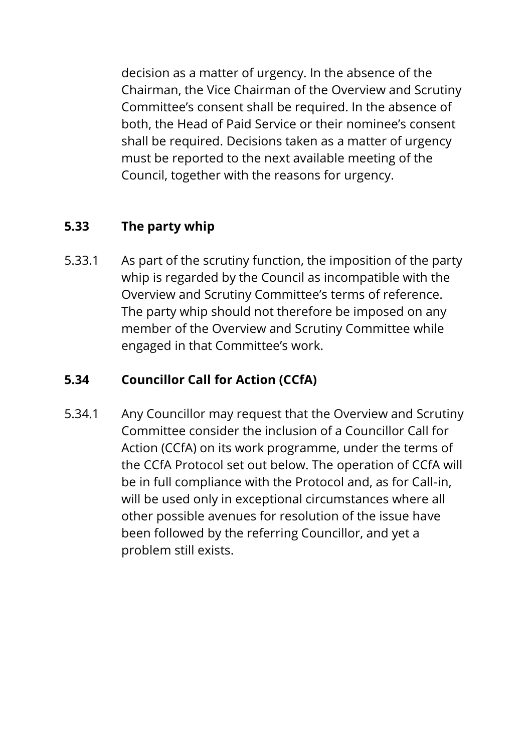decision as a matter of urgency. In the absence of the Chairman, the Vice Chairman of the Overview and Scrutiny Committee's consent shall be required. In the absence of both, the Head of Paid Service or their nominee's consent shall be required. Decisions taken as a matter of urgency must be reported to the next available meeting of the Council, together with the reasons for urgency.

## **5.33 The party whip**

5.33.1 As part of the scrutiny function, the imposition of the party whip is regarded by the Council as incompatible with the Overview and Scrutiny Committee's terms of reference. The party whip should not therefore be imposed on any member of the Overview and Scrutiny Committee while engaged in that Committee's work.

## **5.34 Councillor Call for Action (CCfA)**

5.34.1 Any Councillor may request that the Overview and Scrutiny Committee consider the inclusion of a Councillor Call for Action (CCfA) on its work programme, under the terms of the CCfA Protocol set out below. The operation of CCfA will be in full compliance with the Protocol and, as for Call-in, will be used only in exceptional circumstances where all other possible avenues for resolution of the issue have been followed by the referring Councillor, and yet a problem still exists.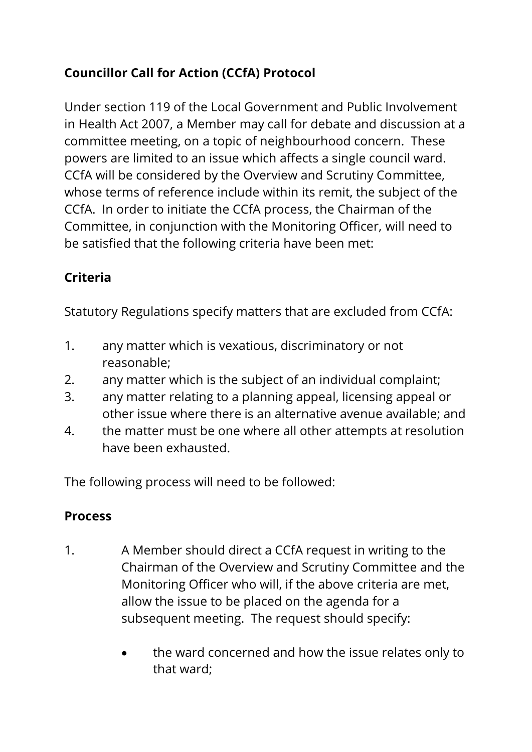# **Councillor Call for Action (CCfA) Protocol**

Under section 119 of the Local Government and Public Involvement in Health Act 2007, a Member may call for debate and discussion at a committee meeting, on a topic of neighbourhood concern. These powers are limited to an issue which affects a single council ward. CCfA will be considered by the Overview and Scrutiny Committee, whose terms of reference include within its remit, the subject of the CCfA. In order to initiate the CCfA process, the Chairman of the Committee, in conjunction with the Monitoring Officer, will need to be satisfied that the following criteria have been met:

# **Criteria**

Statutory Regulations specify matters that are excluded from CCfA:

- 1. any matter which is vexatious, discriminatory or not reasonable;
- 2. any matter which is the subject of an individual complaint;
- 3. any matter relating to a planning appeal, licensing appeal or other issue where there is an alternative avenue available; and
- 4. the matter must be one where all other attempts at resolution have been exhausted.

The following process will need to be followed:

# **Process**

- 1. A Member should direct a CCfA request in writing to the Chairman of the Overview and Scrutiny Committee and the Monitoring Officer who will, if the above criteria are met, allow the issue to be placed on the agenda for a subsequent meeting. The request should specify:
	- the ward concerned and how the issue relates only to that ward;